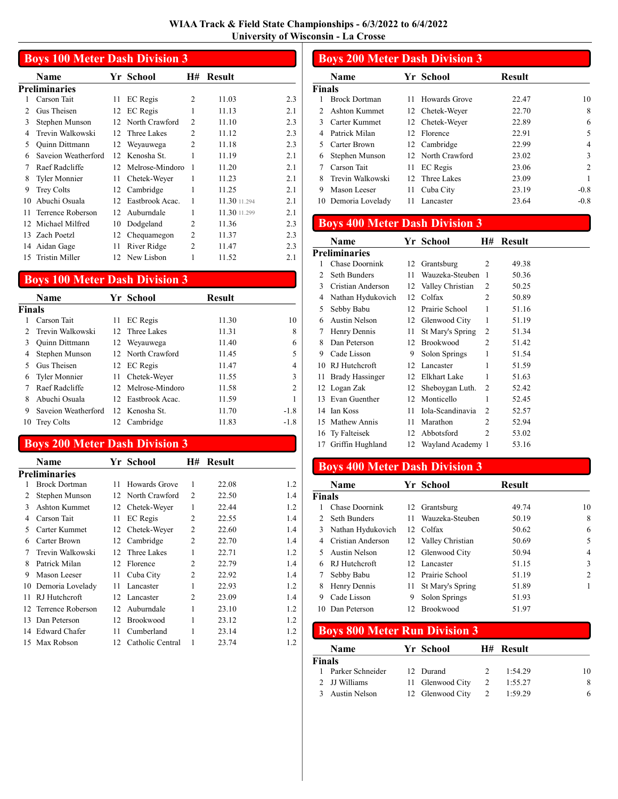|                | <b>Boys 100 Meter Dash Division 3</b> |    |                 |                |               |     |  |  |  |
|----------------|---------------------------------------|----|-----------------|----------------|---------------|-----|--|--|--|
|                | Name                                  |    | Yr School       | H#             | <b>Result</b> |     |  |  |  |
|                | <b>Preliminaries</b>                  |    |                 |                |               |     |  |  |  |
|                | Carson Tait                           | 11 | EC Regis        | $\overline{c}$ | 11.03         | 2.3 |  |  |  |
| $\overline{c}$ | Gus Theisen                           | 12 | <b>EC</b> Regis | 1              | 11.13         | 2.1 |  |  |  |
| 3              | Stephen Munson                        | 12 | North Crawford  | 2              | 11.10         | 2.3 |  |  |  |
| 4              | Trevin Walkowski                      | 12 | Three Lakes     | $\mathfrak{D}$ | 11.12         | 2.3 |  |  |  |
| 5              | Quinn Dittmann                        | 12 | Weyauwega       | $\mathfrak{D}$ | 11.18         | 2.3 |  |  |  |
| 6              | Saveion Weatherford                   | 12 | Kenosha St.     | 1              | 11.19         | 2.1 |  |  |  |
| 7              | Raef Radcliffe                        | 12 | Melrose-Mindoro |                | 11.20         | 2.1 |  |  |  |
| 8              | <b>Tyler Monnier</b>                  | 11 | Chetek-Weyer    |                | 11.23         | 2.1 |  |  |  |
| 9              | <b>Trey Colts</b>                     | 12 | Cambridge       | 1              | 11.25         | 2.1 |  |  |  |
| 10             | Abuchi Osuala                         | 12 | Eastbrook Acac. | 1              | 11.30 11.294  | 2.1 |  |  |  |
| 11             | Terrence Roberson                     | 12 | Auburndale      |                | 11.30 11.299  | 2.1 |  |  |  |
| 12             | Michael Milfred                       | 10 | Dodgeland       | $\mathfrak{D}$ | 11.36         | 2.3 |  |  |  |
| 13             | Zach Poetzl                           | 12 | Chequamegon     | $\overline{c}$ | 11.37         | 2.3 |  |  |  |
| 14             | Aidan Gage                            | 11 | River Ridge     | $\overline{c}$ | 11.47         | 2.3 |  |  |  |
| 15             | Tristin Miller                        | 12 | New Lisbon      |                | 11.52         | 2.1 |  |  |  |

#### Boys 100 Meter Dash Division 3

|               | <b>Name</b>         |        | Yr School           | Result |                |
|---------------|---------------------|--------|---------------------|--------|----------------|
| <b>Finals</b> |                     |        |                     |        |                |
|               | Carson Tait         | 11     | <b>EC</b> Regis     | 11.30  | 10             |
|               | Trevin Walkowski    | $12 -$ | Three Lakes         | 11.31  | 8              |
| 3             | Quinn Dittmann      | 12     | Weyauwega           | 11.40  | 6              |
| 4             | Stephen Munson      |        | 12 North Crawford   | 11.45  | 5              |
|               | Gus Theisen         |        | 12 EC Regis         | 11.47  | 4              |
| 6             | Tyler Monnier       |        | 11 Chetek-Weyer     | 11.55  | 3              |
|               | Raef Radcliffe      |        | 12. Melrose-Mindoro | 11.58  | $\mathfrak{D}$ |
| 8             | Abuchi Osuala       | 12.    | Eastbrook Acac.     | 11.59  |                |
| 9             | Saveion Weatherford |        | 12. Kenosha St.     | 11.70  | $-1.8$         |
| 10            | <b>Trey Colts</b>   | 12     | Cambridge           | 11.83  | $-1.8$         |

#### Boys 200 Meter Dash Division 3

|                | Name                 |    | Yr School        | Н#             | Result |     |
|----------------|----------------------|----|------------------|----------------|--------|-----|
|                | Preliminaries        |    |                  |                |        |     |
| 1              | <b>Brock Dortman</b> | 11 | Howards Grove    | 1              | 22.08  | 1.2 |
| $\overline{c}$ | Stephen Munson       | 12 | North Crawford   | $\overline{c}$ | 22.50  | 1.4 |
| 3              | Ashton Kummet        | 12 | Chetek-Weyer     | 1              | 22.44  | 1.2 |
| 4              | Carson Tait          | 11 | <b>EC</b> Regis  | 2              | 22.55  | 1.4 |
| 5              | Carter Kummet        | 12 | Chetek-Weyer     | 2              | 22.60  | 1.4 |
| 6              | Carter Brown         | 12 | Cambridge        | 2              | 22.70  | 1.4 |
| 7              | Trevin Walkowski     | 12 | Three Lakes      | 1              | 22.71  | 1.2 |
| 8              | Patrick Milan        | 12 | Florence         | 2              | 22.79  | 1.4 |
| 9              | Mason Leeser         | 11 | Cuba City        | 2              | 22.92  | 1.4 |
| 10             | Demoria Lovelady     | 11 | Lancaster        | 1              | 22.93  | 1.2 |
| 11             | RJ Hutchcroft        | 12 | Lancaster        | 2              | 23.09  | 1.4 |
| 12             | Terrence Roberson    | 12 | Auburndale       | 1              | 23.10  | 1.2 |
| 13             | Dan Peterson         | 12 | <b>Brookwood</b> | 1              | 23.12  | 1.2 |
| 14             | Edward Chafer        | 11 | Cumberland       | 1              | 23.14  | 1.2 |
|                | 15 Max Robson        | 12 | Catholic Central |                | 23.74  | 1.2 |

#### Boys 200 Meter Dash Division 3 Name Yr School Result **Finals**<br>1 Brock Dortman 11 Howards Grove 22.47 10 2 Ashton Kummet 12 Chetek-Weyer 22.70 8 3 6 Carter Kummet 12 Chetek-Weyer 22.89 4 Patrick Milan 12 Florence 22.91 5 5 Carter Brown 12 Cambridge 22.99 4 6 3 Stephen Munson 12 North Crawford 23.02 7 Carson Tait 11 EC Regis 23.06 2 8 Trevin Walkowski 12 Three Lakes 23.09 1 9 Mason Leeser 11 Cuba City 23.19 -0.8<br>10 Demoria Lovelady 11 Lancaster 23.64 -0.8 10 Demoria Lovelady 11 Lancaster 23.64

### Boys 400 Meter Dash Division 3

|    | Name                   |    | Yr School         | H#             | <b>Result</b> |
|----|------------------------|----|-------------------|----------------|---------------|
|    | <b>Preliminaries</b>   |    |                   |                |               |
| 1  | Chase Doornink         | 12 | Grantsburg        | 2              | 49.38         |
| 2  | Seth Bunders           | 11 | Wauzeka-Steuben   | 1              | 50.36         |
| 3  | Cristian Anderson      | 12 | Valley Christian  | 2              | 50.25         |
| 4  | Nathan Hydukovich      | 12 | Colfax            | $\mathfrak{D}$ | 50.89         |
| 5  | Sebby Babu             | 12 | Prairie School    | 1              | 51.16         |
| 6  | Austin Nelson          | 12 | Glenwood City     | 1              | 51.19         |
| 7  | Henry Dennis           | 11 | St Mary's Spring  | $\overline{c}$ | 51.34         |
| 8  | Dan Peterson           | 12 | <b>Brookwood</b>  | $\mathfrak{D}$ | 51.42         |
| 9  | Cade Lisson            | 9  | Solon Springs     | 1              | 51.54         |
| 10 | RJ Hutchcroft          | 12 | Lancaster         | 1              | 51.59         |
| 11 | <b>Brady Hassinger</b> | 12 | Elkhart Lake      | 1              | 51.63         |
|    | 12 Logan Zak           | 12 | Sheboygan Luth.   | $\mathcal{L}$  | 52.42         |
| 13 | Evan Guenther          | 12 | Monticello        | 1              | 52.45         |
| 14 | Ian Koss               | 11 | Iola-Scandinavia  | $\mathcal{L}$  | 52.57         |
| 15 | Mathew Annis           | 11 | Marathon          | $\mathfrak{D}$ | 52.94         |
|    | 16 Ty Falteisek        | 12 | Abbotsford        | $\mathfrak{D}$ | 53.02         |
| 17 | Griffin Hughland       | 12 | Wayland Academy 1 |                | 53.16         |

### Boys 400 Meter Dash Division 3

|        | Name              |    | Yr School           | <b>Result</b> |                |
|--------|-------------------|----|---------------------|---------------|----------------|
| Finals |                   |    |                     |               |                |
|        | Chase Doornink    |    | 12 Grantsburg       | 49.74         | 10             |
|        | Seth Bunders      | 11 | Wauzeka-Steuben     | 50.19         | 8              |
| 3      | Nathan Hydukovich |    | 12. Colfax          | 50.62         | 6              |
| 4      | Cristian Anderson |    | 12 Valley Christian | 50.69         | 5              |
|        | Austin Nelson     |    | 12 Glenwood City    | 50.94         | 4              |
| 6      | RJ Hutchcroft     |    | 12. Lancaster       | 51.15         | 3              |
| 7      | Sebby Babu        |    | 12 Prairie School   | 51.19         | $\overline{c}$ |
| 8      | Henry Dennis      | 11 | St Mary's Spring    | 51.89         |                |
| 9      | Cade Lisson       | 9  | Solon Springs       | 51.93         |                |
| 10     | Dan Peterson      |    | 12 Brookwood        | 51.97         |                |

### Boys 800 Meter Run Division 3

|               | <b>Name</b>      | Yr School        |   | H# Result |    |
|---------------|------------------|------------------|---|-----------|----|
| <b>Finals</b> |                  |                  |   |           |    |
|               | Parker Schneider | 12 Durand        |   | 1:54.29   | 10 |
|               | 2 JJ Williams    | 11 Glenwood City | 2 | 1:55.27   | 8  |
|               | Austin Nelson    | 12 Glenwood City | 2 | 1:59.29   | 6  |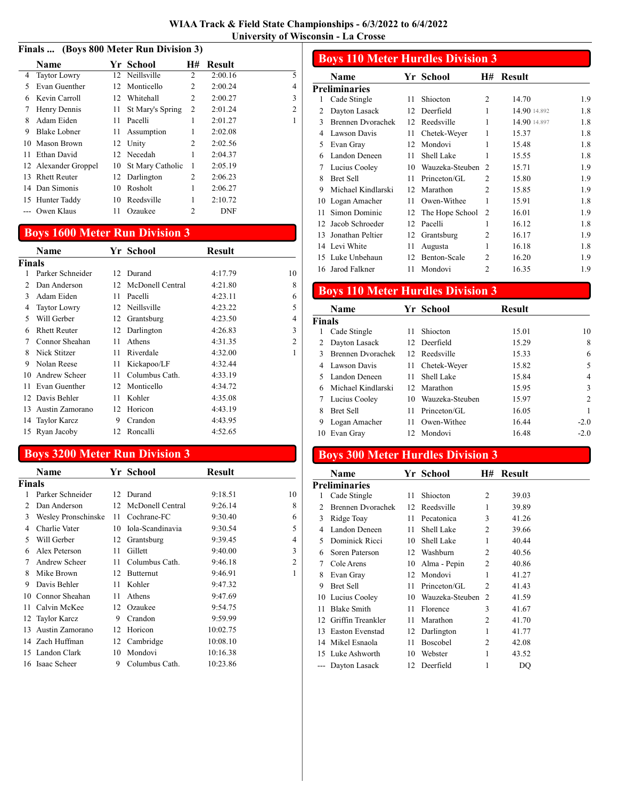#### Finals ... (Boys 800 Meter Run Division 3)

|    | <b>Name</b>          |                 | Yr School        | H# | <b>Result</b> |                |
|----|----------------------|-----------------|------------------|----|---------------|----------------|
| 4  | <b>Taytor Lowry</b>  |                 | 12 Neillsville   | 2  | 2:00.16       | 5              |
| 5  | Evan Guenther        | 12              | Monticello       | 2  | 2:00.24       | 4              |
| 6  | Kevin Carroll        | 12 <sup>1</sup> | Whitehall        | 2  | 2:00.27       | 3              |
| 7  | Henry Dennis         | 11              | St Mary's Spring | 2  | 2:01.24       | $\overline{2}$ |
| 8  | Adam Eiden           | 11              | Pacelli          | 1  | 2:01.27       | 1              |
| 9  | Blake Lobner         | 11              | Assumption       | 1  | 2:02.08       |                |
| 10 | Mason Brown          | 12              | Unity            | 2  | 2:02.56       |                |
| 11 | Ethan David          |                 | 12 Necedah       | 1  | 2:04.37       |                |
|    | 12 Alexander Groppel | 10              | St Mary Catholic | 1  | 2:05.19       |                |
| 13 | <b>Rhett Reuter</b>  | 12.             | Darlington       | 2  | 2:06.23       |                |
|    | 14 Dan Simonis       | 10              | Rosholt          | 1  | 2:06.27       |                |
| 15 | Hunter Taddy         | 10              | Reedsville       | 1  | 2:10.72       |                |
|    | Owen Klaus           | 11              | Ozaukee          | 2  | DNF           |                |

#### Boys 1600 Meter Run Division 3

|               | Name                |    | Yr School           | Result  |                |
|---------------|---------------------|----|---------------------|---------|----------------|
| <b>Finals</b> |                     |    |                     |         |                |
|               | Parker Schneider    |    | 12 Durand           | 4:17.79 | 10             |
| 2             | Dan Anderson        |    | 12 McDonell Central | 4:21.80 | 8              |
| 3             | Adam Eiden          | 11 | Pacelli             | 4:23.11 | 6              |
| 4             | <b>Taytor Lowry</b> | 12 | Neillsville         | 4:23.22 | 5              |
| 5             | Will Gerber         | 12 | Grantsburg          | 4:23.50 | 4              |
| 6             | <b>Rhett Reuter</b> | 12 | Darlington          | 4:26.83 | 3              |
| 7             | Connor Sheahan      | 11 | Athens              | 4:31.35 | $\overline{c}$ |
| 8             | Nick Stitzer        | 11 | Riverdale           | 4:32.00 | 1              |
| 9             | Nolan Reese         | 11 | Kickapoo/LF         | 4:32.44 |                |
| 10            | Andrew Scheer       | 11 | Columbus Cath.      | 4:33.19 |                |
| 11            | Evan Guenther       | 12 | Monticello          | 4:34.72 |                |
|               | 12 Davis Behler     | 11 | Kohler              | 4:35.08 |                |
|               | 13 Austin Zamorano  | 12 | Horicon             | 4:43.19 |                |
|               | 14 Taylor Karcz     | 9  | Crandon             | 4:43.95 |                |
|               | 15 Ryan Jacoby      | 12 | Roncalli            | 4:52.65 |                |
|               |                     |    |                     |         |                |

### Boys 3200 Meter Run Division 3

|        | Name                |    | Yr School        | <b>Result</b> |                |
|--------|---------------------|----|------------------|---------------|----------------|
| Finals |                     |    |                  |               |                |
|        | Parker Schneider    |    | 12 Durand        | 9:18.51       | 10             |
| 2      | Dan Anderson        | 12 | McDonell Central | 9:26.14       | 8              |
| 3      | Wesley Pronschinske | 11 | Cochrane-FC      | 9:30.40       | 6              |
| 4      | Charlie Vater       | 10 | Iola-Scandinavia | 9:30.54       | 5              |
| 5      | Will Gerber         | 12 | Grantsburg       | 9:39.45       | 4              |
| 6      | Alex Peterson       | 11 | Gillett          | 9:40.00       | 3              |
| 7      | Andrew Scheer       | 11 | Columbus Cath.   | 9:46.18       | $\overline{2}$ |
| 8      | Mike Brown          | 12 | Butternut        | 9:46.91       | 1              |
| 9      | Davis Behler        | 11 | Kohler           | 9:47.32       |                |
| 10     | Connor Sheahan      | 11 | Athens           | 9:47.69       |                |
| 11     | Calvin McKee        | 12 | Ozaukee          | 9:54.75       |                |
| 12     | <b>Taylor Karcz</b> | 9  | Crandon          | 9:59.99       |                |
| 13     | Austin Zamorano     | 12 | Horicon          | 10:02.75      |                |
| 14     | Zach Huffman        | 12 | Cambridge        | 10:08.10      |                |
| 15     | Landon Clark        | 10 | Mondovi          | 10:16.38      |                |
|        | 16 Isaac Scheer     | 9  | Columbus Cath.   | 10:23.86      |                |

#### Boys 110 Meter Hurdles Division 3 Name Yr School H# Result **Preliminaries** 1 Cade Stingle 11 Shiocton 2 14.70 1.9 2 Dayton Lasack 12 Deerfield 1 14.90 14.892 1.8 3 Brennen Dvorachek 12 Reedsville 1 14.90 14.897 1.8 4 Lawson Davis 11 Chetek-Weyer 1 15.37 1.8 5 Evan Gray 12 Mondovi 1 15.48 1.8 6 1.8 Landon Deneen 11 Shell Lake 1 15.55 7 1.9 Lucius Cooley 10 Wauzeka-Steuben 2 15.71 8 Bret Sell 11 Princeton/GL 2 15.80 1.9 9 1.9 Michael Kindlarski 12 Marathon 2 15.85 10 Logan Amacher 11 Owen-Withee 1 15.91 1.8 11 Simon Dominic 12 The Hope School 2 16.01 1.9

12 Jacob Schroeder 12 Pacelli 1 16.12 1.8 13 1.9 Jonathan Peltier 12 Grantsburg 2 16.17 14 Levi White 11 Augusta 1 16.18 1.8 15 1.9 Luke Unbehaun 12 Benton-Scale 2 16.20 16 1.9 Jarod Falkner 11 Mondovi 2 16.35

## Boys 110 Meter Hurdles Division 3

|        | <b>Name</b>        |     | Yr School       | <b>Result</b> |                |
|--------|--------------------|-----|-----------------|---------------|----------------|
| Finals |                    |     |                 |               |                |
| l      | Cade Stingle       | 11. | Shiocton        | 15.01         | 10             |
| 2      | Dayton Lasack      |     | 12 Deerfield    | 15.29         | 8              |
| 3      | Brennen Dvorachek  |     | 12 Reedsville   | 15.33         | 6              |
| 4      | Lawson Davis       |     | 11 Chetek-Weyer | 15.82         | 5              |
|        | Landon Deneen      | 11. | Shell Lake      | 15.84         | 4              |
| 6      | Michael Kindlarski |     | 12 Marathon     | 15.95         | 3              |
|        | Lucius Cooley      | 10  | Wauzeka-Steuben | 15.97         | $\overline{c}$ |
| 8      | <b>Bret Sell</b>   | 11. | Princeton/GL    | 16.05         |                |
| 9      | Logan Amacher      |     | 11 Owen-Withee  | 16.44         | $-2.0$         |
| 10     | Evan Gray          |     | 12 Mondovi      | 16.48         | $-2.0$         |

#### Boys 300 Meter Hurdles Division 3

| Name                   |                                                                                            |                 | H#                                                | Result          |  |
|------------------------|--------------------------------------------------------------------------------------------|-----------------|---------------------------------------------------|-----------------|--|
|                        |                                                                                            |                 |                                                   |                 |  |
| Cade Stingle           | 11                                                                                         | Shiocton        | $\overline{c}$                                    | 39.03           |  |
| Brennen Dvorachek      | 12                                                                                         |                 | 1                                                 | 39.89           |  |
| Ridge Toay             | 11                                                                                         | Pecatonica      | 3                                                 | 41.26           |  |
| Landon Deneen          | 11                                                                                         | Shell Lake      | 2                                                 | 39.66           |  |
| Dominick Ricci         | 10                                                                                         | Shell Lake      | 1                                                 | 40.44           |  |
| Soren Paterson         |                                                                                            |                 | 2                                                 | 40.56           |  |
| Cole Arens             | 10                                                                                         | Alma - Pepin    | 2                                                 | 40.86           |  |
| Evan Gray              | 12                                                                                         |                 | 1                                                 | 41.27           |  |
| <b>Bret Sell</b>       | 11                                                                                         | Princeton/GL    | $\overline{c}$                                    | 41.43           |  |
|                        | 10                                                                                         |                 | 2                                                 | 41.59           |  |
| <b>Blake Smith</b>     | 11                                                                                         | Florence        | 3                                                 | 41.67           |  |
| Griffin Treankler      | 11                                                                                         | Marathon        | 2                                                 | 41.70           |  |
| <b>Easton Evenstad</b> | 12                                                                                         | Darlington      | 1                                                 | 41.77           |  |
|                        | 11                                                                                         | <b>Boscobel</b> | 2                                                 | 42.08           |  |
|                        | 10                                                                                         | Webster         | 1                                                 | 43.52           |  |
|                        | 12                                                                                         | Deerfield       | 1                                                 | DO              |  |
|                        | Preliminaries<br>10 Lucius Cooley<br>14 Mikel Esnaola<br>15 Luke Ashworth<br>Dayton Lasack |                 | Yr School<br>Reedsville<br>12 Washburn<br>Mondovi | Wauzeka-Steuben |  |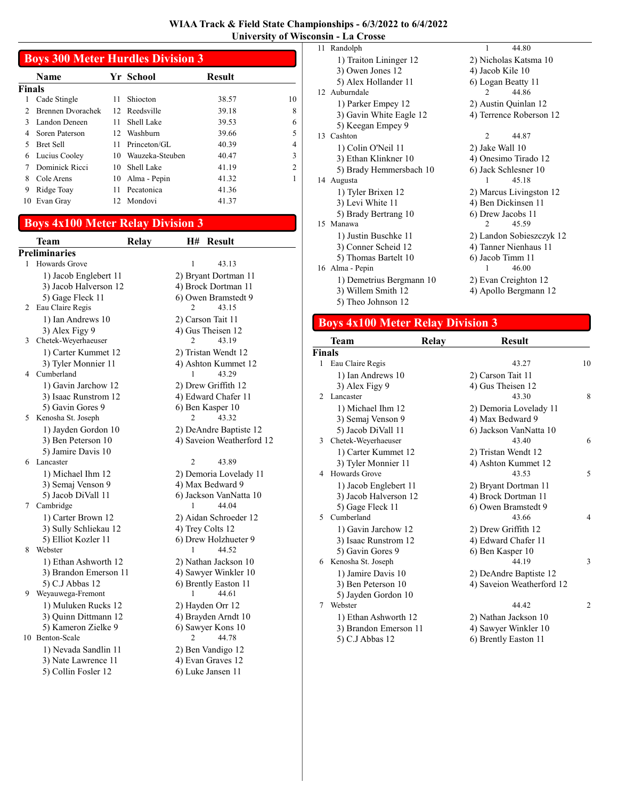| WIAA Track & Field State Championships - 6/3/2022 to 6/4/2022 |  |
|---------------------------------------------------------------|--|
| <b>University of Wisconsin - La Crosse</b>                    |  |

|               | <b>Boys 300 Meter Hurdles Division 3</b> |    |                 |               |    |  |  |
|---------------|------------------------------------------|----|-----------------|---------------|----|--|--|
|               | <b>Name</b>                              |    | Yr School       | <b>Result</b> |    |  |  |
| Finals        |                                          |    |                 |               |    |  |  |
| 1             | Cade Stingle                             | 11 | Shiocton        | 38.57         | 10 |  |  |
| $\mathcal{L}$ | Brennen Dvorachek                        | 12 | Reedsville      | 39.18         | 8  |  |  |
| 3             | Landon Deneen                            | 11 | Shell Lake      | 39.53         | 6  |  |  |
| 4             | Soren Paterson                           | 12 | Washburn        | 39.66         | 5  |  |  |
| 5             | <b>Bret Sell</b>                         | 11 | Princeton/GL    | 40.39         | 4  |  |  |
| 6             | Lucius Cooley                            | 10 | Wauzeka-Steuben | 40.47         | 3  |  |  |
|               | Dominick Ricci                           | 10 | Shell Lake      | 41.19         | 2  |  |  |
| 8             | Cole Arens                               | 10 | Alma - Pepin    | 41.32         |    |  |  |
| 9             | Ridge Toay                               | 11 | Pecatonica      | 41.36         |    |  |  |
| 10            | Evan Gray                                |    | 12 Mondovi      | 41.37         |    |  |  |

# Boys 4x100 Meter Relay Division 3

|   | <b>Team</b>                                 | H#<br><b>Result</b><br><b>Relay</b> |
|---|---------------------------------------------|-------------------------------------|
|   | Preliminaries                               |                                     |
| 1 | <b>Howards Grove</b>                        | 1<br>43.13                          |
|   | 1) Jacob Englebert 11                       | 2) Bryant Dortman 11                |
|   | 3) Jacob Halverson 12                       | 4) Brock Dortman 11                 |
|   | 5) Gage Fleck 11                            | 6) Owen Bramstedt 9                 |
| 2 | Eau Claire Regis                            | 2<br>43.15                          |
|   | 1) Ian Andrews 10                           | 2) Carson Tait 11                   |
|   | 3) Alex Figy 9                              | 4) Gus Theisen 12                   |
| 3 | Chetek-Weyerhaeuser                         | 43.19<br>2                          |
|   | 1) Carter Kummet 12                         | 2) Tristan Wendt 12                 |
|   | 3) Tyler Monnier 11                         | 4) Ashton Kummet 12                 |
| 4 | Cumberland                                  | 43.29<br>1                          |
|   | 1) Gavin Jarchow 12                         | 2) Drew Griffith 12                 |
|   | 3) Isaac Runstrom 12                        | 4) Edward Chafer 11                 |
|   | 5) Gavin Gores 9                            | 6) Ben Kasper 10                    |
| 5 | Kenosha St. Joseph                          | 43.32<br>2                          |
|   | 1) Jayden Gordon 10                         | 2) DeAndre Baptiste 12              |
|   | 3) Ben Peterson 10                          | 4) Saveion Weatherford 12           |
|   | 5) Jamire Davis 10                          |                                     |
| 6 | Lancaster                                   | $\overline{c}$<br>43.89             |
|   | 1) Michael Ihm 12                           | 2) Demoria Lovelady 11              |
|   | 3) Semaj Venson 9                           | 4) Max Bedward 9                    |
|   | 5) Jacob DiVall 11                          | 6) Jackson VanNatta 10              |
| 7 | Cambridge                                   | 44.04<br>1                          |
|   | 1) Carter Brown 12                          | 2) Aidan Schroeder 12               |
|   | 3) Sully Schliekau 12                       | 4) Trey Colts 12                    |
|   | 5) Elliot Kozler 11                         | 6) Drew Holzhueter 9                |
| 8 | Webster                                     | 44.52                               |
|   | 1) Ethan Ashworth 12                        | 2) Nathan Jackson 10                |
|   | 3) Brandon Emerson 11                       | 4) Sawyer Winkler 10                |
|   | 5) C.J Abbas 12                             | 6) Brently Easton 11                |
| 9 | Weyauwega-Fremont                           | 44.61<br>1                          |
|   | 1) Muluken Rucks 12                         | 2) Hayden Orr 12                    |
|   | 3) Quinn Dittmann 12                        | 4) Brayden Arndt 10                 |
|   | 5) Kameron Zielke 9                         | 6) Sawyer Kons 10                   |
|   | 10 Benton-Scale                             | 2<br>44.78                          |
|   |                                             | 2) Ben Vandigo 12                   |
|   |                                             |                                     |
|   | 1) Nevada Sandlin 11<br>3) Nate Lawrence 11 | 4) Evan Graves 12                   |

| 11 Randolph              | 44.80<br>1               |
|--------------------------|--------------------------|
| 1) Traiton Lininger 12   | 2) Nicholas Katsma 10    |
| 3) Owen Jones 12         | 4) Jacob Kile 10         |
| 5) Alex Hollander 11     | 6) Logan Beatty 11       |
| 12 Auburndale            | $\overline{c}$<br>44.86  |
| 1) Parker Empey 12       | 2) Austin Quinlan 12     |
| 3) Gavin White Eagle 12  | 4) Terrence Roberson 12  |
| 5) Keegan Empey 9        |                          |
| 13 Cashton               | 44.87<br>$\overline{c}$  |
| 1) Colin O'Neil 11       | 2) Jake Wall 10          |
| 3) Ethan Klinkner 10     | 4) Onesimo Tirado 12     |
| 5) Brady Hemmersbach 10  | 6) Jack Schlesner 10     |
| 14 Augusta               | 45.18                    |
| 1) Tyler Brixen 12       | 2) Marcus Livingston 12  |
| 3) Levi White 11         | 4) Ben Dickinsen 11      |
| 5) Brady Bertrang 10     | 6) Drew Jacobs 11        |
| 15 Manawa                | 45.59<br>$\mathfrak{D}$  |
| 1) Justin Buschke 11     | 2) Landon Sobieszczyk 12 |
| 3) Conner Scheid 12      | 4) Tanner Nienhaus 11    |
| 5) Thomas Bartelt 10     | 6) Jacob Timm 11         |
| 16 Alma - Pepin          | 46.00<br>1               |
| 1) Demetrius Bergmann 10 | 2) Evan Creighton 12     |
| 3) Willem Smith 12       | 4) Apollo Bergmann 12    |
| 5) Theo Johnson 12       |                          |

### Boys 4x100 Meter Relay Division 3

|               | Team                  | <b>Relay</b> | <b>Result</b>             |                |
|---------------|-----------------------|--------------|---------------------------|----------------|
| <b>Finals</b> |                       |              |                           |                |
| 1.            | Eau Claire Regis      |              | 43.27                     | 10             |
|               | 1) Ian Andrews 10     |              | 2) Carson Tait 11         |                |
|               | 3) Alex Figy 9        |              | 4) Gus Theisen 12         |                |
| 2             | Lancaster             |              | 43.30                     | 8              |
|               | 1) Michael Ihm 12     |              | 2) Demoria Lovelady 11    |                |
|               | 3) Semaj Venson 9     |              | 4) Max Bedward 9          |                |
|               | 5) Jacob DiVall 11    |              | 6) Jackson VanNatta 10    |                |
| 3             | Chetek-Weyerhaeuser   |              | 43.40                     | 6              |
|               | 1) Carter Kummet 12   |              | 2) Tristan Wendt 12       |                |
|               | 3) Tyler Monnier 11   |              | 4) Ashton Kummet 12       |                |
| 4             | Howards Grove         |              | 43.53                     | 5              |
|               | 1) Jacob Englebert 11 |              | 2) Bryant Dortman 11      |                |
|               | 3) Jacob Halverson 12 |              | 4) Brock Dortman 11       |                |
|               | 5) Gage Fleck 11      |              | 6) Owen Bramstedt 9       |                |
| 5             | Cumberland            |              | 43.66                     | $\overline{4}$ |
|               | 1) Gavin Jarchow 12   |              | 2) Drew Griffith 12       |                |
|               | 3) Isaac Runstrom 12  |              | 4) Edward Chafer 11       |                |
|               | 5) Gavin Gores 9      |              | 6) Ben Kasper 10          |                |
| 6             | Kenosha St. Joseph    |              | 44.19                     | 3              |
|               | 1) Jamire Davis 10    |              | 2) DeAndre Baptiste 12    |                |
|               | 3) Ben Peterson 10    |              | 4) Saveion Weatherford 12 |                |
|               | 5) Jayden Gordon 10   |              |                           |                |
| 7             | Webster               |              | 44.42                     | 2              |
|               | 1) Ethan Ashworth 12  |              | 2) Nathan Jackson 10      |                |
|               | 3) Brandon Emerson 11 |              | 4) Sawyer Winkler 10      |                |
|               | 5) C.J Abbas 12       |              | 6) Brently Easton 11      |                |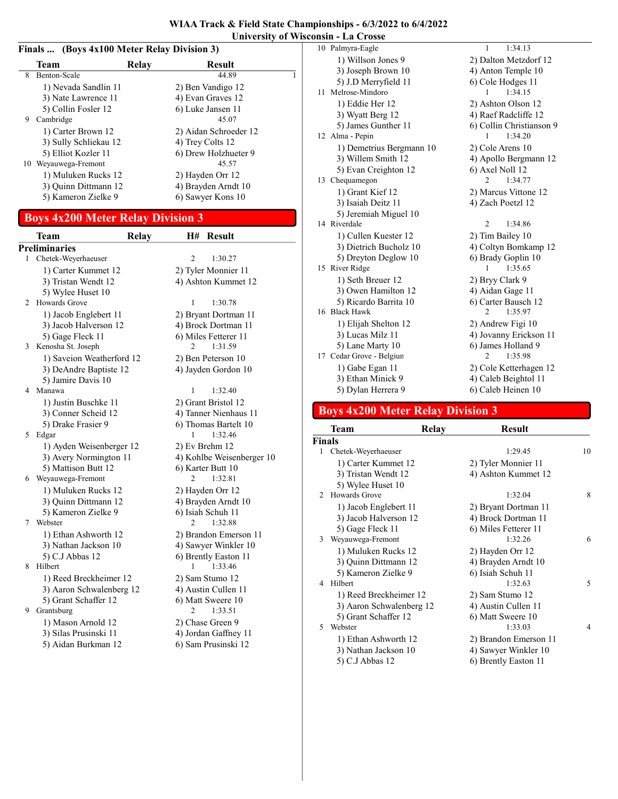#### Finals ... (Boys 4x100 Meter Relay Division 3)

|   | Team                  | Relay | <b>Result</b>         |  |
|---|-----------------------|-------|-----------------------|--|
| 8 | Benton-Scale          |       | 44.89                 |  |
|   | 1) Nevada Sandlin 11  |       | 2) Ben Vandigo 12     |  |
|   | 3) Nate Lawrence 11   |       | 4) Evan Graves 12     |  |
|   | 5) Collin Fosler 12   |       | 6) Luke Jansen 11     |  |
| 9 | Cambridge             |       | 45.07                 |  |
|   | 1) Carter Brown 12    |       | 2) Aidan Schroeder 12 |  |
|   | 3) Sully Schliekau 12 |       | 4) Trey Colts 12      |  |
|   | 5) Elliot Kozler 11   |       | 6) Drew Holzhueter 9  |  |
|   | 10 Weyauwega-Fremont  |       | 45.57                 |  |
|   | 1) Muluken Rucks 12   |       | 2) Hayden Orr 12      |  |
|   | 3) Ouinn Dittmann 12  |       | 4) Brayden Arndt 10   |  |
|   | 5) Kameron Zielke 9   |       | 6) Sawyer Kons 10     |  |
|   |                       |       |                       |  |

### Boys 4x200 Meter Relay Division 3

|              | Team                      | <b>Relay</b> | H#             | <b>Result</b>             |
|--------------|---------------------------|--------------|----------------|---------------------------|
|              | <b>Preliminaries</b>      |              |                |                           |
| $\mathbf{1}$ | Chetek-Weyerhaeuser       |              | 2              | 1:30.27                   |
|              | 1) Carter Kummet 12       |              |                | 2) Tyler Monnier 11       |
|              | 3) Tristan Wendt 12       |              |                | 4) Ashton Kummet 12       |
|              | 5) Wylee Huset 10         |              |                |                           |
| 2            | Howards Grove             |              | 1              | 1:30.78                   |
|              | 1) Jacob Englebert 11     |              |                | 2) Bryant Dortman 11      |
|              | 3) Jacob Halverson 12     |              |                | 4) Brock Dortman 11       |
|              | 5) Gage Fleck 11          |              |                | 6) Miles Fetterer 11      |
| 3            | Kenosha St. Joseph        |              | $\mathfrak{D}$ | 1:31.59                   |
|              | 1) Saveion Weatherford 12 |              |                | 2) Ben Peterson 10        |
|              | 3) DeAndre Baptiste 12    |              |                | 4) Jayden Gordon 10       |
|              | 5) Jamire Davis 10        |              |                |                           |
| 4            | Manawa                    |              | 1              | 1:32.40                   |
|              | 1) Justin Buschke 11      |              |                | 2) Grant Bristol 12       |
|              | 3) Conner Scheid 12       |              |                | 4) Tanner Nienhaus 11     |
|              | 5) Drake Frasier 9        |              |                | 6) Thomas Bartelt 10      |
| 5            | Edgar                     |              | 1              | 1:32.46                   |
|              | 1) Ayden Weisenberger 12  |              |                | 2) Ev Brehm 12            |
|              | 3) Avery Normington 11    |              |                | 4) Kohlbe Weisenberger 10 |
|              | 5) Mattison Butt 12       |              |                | 6) Karter Butt 10         |
| 6            | Weyauwega-Fremont         |              | 2              | 1:32.81                   |
|              | 1) Muluken Rucks 12       |              |                | 2) Hayden Orr 12          |
|              | 3) Quinn Dittmann 12      |              |                | 4) Brayden Arndt 10       |
|              | 5) Kameron Zielke 9       |              |                | 6) Isiah Schuh 11         |
| 7            | Webster                   |              | 2              | 1:32.88                   |
|              | 1) Ethan Ashworth 12      |              |                | 2) Brandon Emerson 11     |
|              | 3) Nathan Jackson 10      |              |                | 4) Sawyer Winkler 10      |
|              | 5) C.J Abbas 12           |              |                | 6) Brently Easton 11      |
| 8            | Hilbert                   |              | 1              | 1:33.46                   |
|              | 1) Reed Breckheimer 12    |              |                | 2) Sam Stumo 12           |
|              | 3) Aaron Schwalenberg 12  |              |                | 4) Austin Cullen 11       |
|              | 5) Grant Schaffer 12      |              |                | 6) Matt Sweere 10         |
| 9            | Grantsburg                |              | 2              | 1:33.51                   |
|              | 1) Mason Arnold 12        |              |                | 2) Chase Green 9          |
|              | 3) Silas Prusinski 11     |              |                | 4) Jordan Gaffney 11      |
|              | 5) Aidan Burkman 12       |              |                | 6) Sam Prusinski 12       |

| 10 Palmyra-Eagle         | 1<br>1:34.13              |
|--------------------------|---------------------------|
| 1) Willson Jones 9       | 2) Dalton Metzdorf 12     |
| 3) Joseph Brown 10       | 4) Anton Temple 10        |
| 5) J.D Merryfield 11     | 6) Cole Hodges 11         |
| 11 Melrose-Mindoro       | 1:34.15<br>1              |
| 1) Eddie Her 12          | 2) Ashton Olson 12        |
| 3) Wyatt Berg 12         | 4) Raef Radcliffe 12      |
| 5) James Gunther 11      | 6) Collin Christianson 9  |
| 12 Alma - Pepin          | 1:34.20<br>1              |
| 1) Demetrius Bergmann 10 | 2) Cole Arens 10          |
| 3) Willem Smith 12       | 4) Apollo Bergmann 12     |
| 5) Evan Creighton 12     | 6) Axel Noll 12           |
| 13 Chequamegon           | 1:34.77<br>2              |
| 1) Grant Kief 12         | 2) Marcus Vittone 12      |
| 3) Isaiah Deitz 11       | 4) Zach Poetzl 12         |
| 5) Jeremiah Miguel 10    |                           |
| 14 Riverdale             | $\overline{2}$<br>1:34.86 |
| 1) Cullen Kuester 12     | 2) Tim Bailey 10          |
| 3) Dietrich Bucholz 10   | 4) Coltyn Bomkamp 12      |
| 5) Dreyton Deglow 10     | 6) Brady Goplin 10        |
| 15 River Ridge           | 1:35.65<br>1              |
| 1) Seth Breuer 12        | 2) Bryy Clark 9           |
| 3) Owen Hamilton 12      | 4) Aidan Gage 11          |
| 5) Ricardo Barrita 10    | 6) Carter Bausch 12       |
| 16 Black Hawk            | 1:35.97                   |
| 1) Elijah Shelton 12     | 2) Andrew Figi 10         |
| 3) Lucas Milz 11         | 4) Jovanny Erickson 11    |
| 5) Lane Marty 10         | 6) James Holland 9        |
| 17 Cedar Grove - Belgiun | 1:35.98<br>$\mathfrak{D}$ |
| 1) Gabe Egan 11          | 2) Cole Ketterhagen 12    |
| 3) Ethan Minick 9        | 4) Caleb Beightol 11      |
| 5) Dylan Herrera 9       | 6) Caleb Heinen 10        |

### Boys 4x200 Meter Relay Division 3

|               | Team                     | Relay | <b>Result</b>         |    |
|---------------|--------------------------|-------|-----------------------|----|
| Finals        |                          |       |                       |    |
| 1             | Chetek-Weyerhaeuser      |       | 1:29.45               | 10 |
|               | 1) Carter Kummet 12      |       | 2) Tyler Monnier 11   |    |
|               | 3) Tristan Wendt 12      |       | 4) Ashton Kummet 12   |    |
|               | 5) Wylee Huset 10        |       |                       |    |
| $\mathcal{L}$ | Howards Grove            |       | 1:32.04               | 8  |
|               | 1) Jacob Englebert 11    |       | 2) Bryant Dortman 11  |    |
|               | 3) Jacob Halverson 12    |       | 4) Brock Dortman 11   |    |
|               | 5) Gage Fleck 11         |       | 6) Miles Fetterer 11  |    |
| 3             | Weyauwega-Fremont        |       | 1:32.26               | 6  |
|               | 1) Muluken Rucks 12      |       | 2) Hayden Orr 12      |    |
|               | 3) Quinn Dittmann 12     |       | 4) Brayden Arndt 10   |    |
|               | 5) Kameron Zielke 9      |       | 6) Isiah Schuh 11     |    |
| 4             | Hilbert                  |       | 1:32.63               | 5  |
|               | 1) Reed Breckheimer 12   |       | 2) Sam Stumo 12       |    |
|               | 3) Aaron Schwalenberg 12 |       | 4) Austin Cullen 11   |    |
|               | 5) Grant Schaffer 12     |       | 6) Matt Sweere 10     |    |
| 5             | Webster                  |       | 1:33.03               | 4  |
|               | 1) Ethan Ashworth 12     |       | 2) Brandon Emerson 11 |    |
|               | 3) Nathan Jackson 10     |       | 4) Sawyer Winkler 10  |    |
|               | 5) C.J Abbas 12          |       | 6) Brently Easton 11  |    |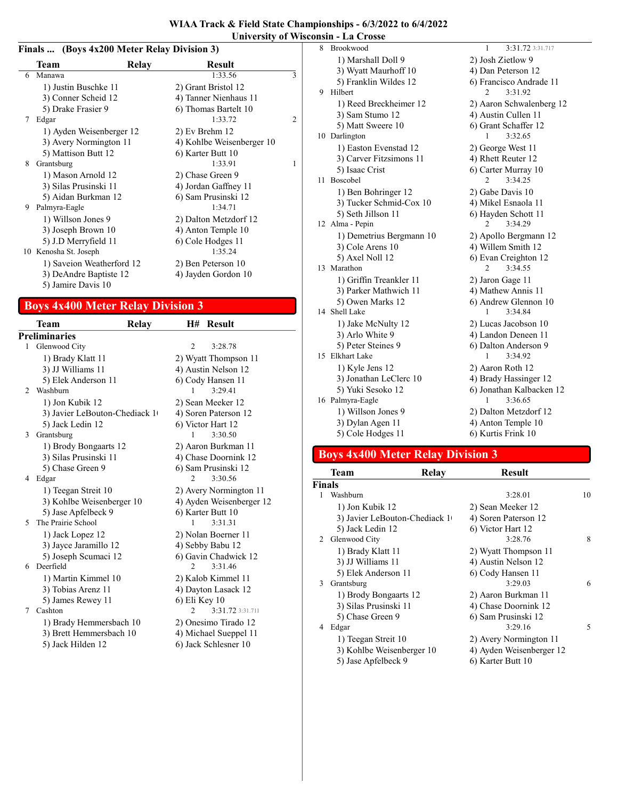#### Finals ... (Boys 4x200 Meter Relay Division 3)

|   | Team                      | Relay | <b>Result</b>             |   |
|---|---------------------------|-------|---------------------------|---|
| 6 | Manawa                    |       | 1:33.56                   | 3 |
|   | 1) Justin Buschke 11      |       | 2) Grant Bristol 12       |   |
|   | 3) Conner Scheid 12       |       | 4) Tanner Nienhaus 11     |   |
|   | 5) Drake Frasier 9        |       | 6) Thomas Bartelt 10      |   |
| 7 | Edgar                     |       | 1:33.72                   | 2 |
|   | 1) Ayden Weisenberger 12  |       | 2) Ev Brehm 12            |   |
|   | 3) Avery Normington 11    |       | 4) Kohlbe Weisenberger 10 |   |
|   | 5) Mattison Butt 12       |       | 6) Karter Butt 10         |   |
| 8 | Grantsburg                |       | 1:33.91                   | 1 |
|   | 1) Mason Arnold 12        |       | 2) Chase Green 9          |   |
|   | 3) Silas Prusinski 11     |       | 4) Jordan Gaffney 11      |   |
|   | 5) Aidan Burkman 12       |       | 6) Sam Prusinski 12       |   |
| 9 | Palmyra-Eagle             |       | 1:34.71                   |   |
|   | 1) Willson Jones 9        |       | 2) Dalton Metzdorf 12     |   |
|   | 3) Joseph Brown 10        |       | 4) Anton Temple 10        |   |
|   | 5) J.D Merryfield 11      |       | 6) Cole Hodges 11         |   |
|   | 10 Kenosha St. Joseph     |       | 1:35.24                   |   |
|   | 1) Saveion Weatherford 12 |       | 2) Ben Peterson 10        |   |
|   | 3) DeAndre Baptiste 12    |       | 4) Jayden Gordon 10       |   |
|   | 5) Jamire Davis 10        |       |                           |   |

### Boys 4x400 Meter Relay Division 3

|   | Team                          | Relay |                             | H# Result                |
|---|-------------------------------|-------|-----------------------------|--------------------------|
|   | <b>Preliminaries</b>          |       |                             |                          |
| 1 | Glenwood City                 |       | $\overline{c}$              | 3:28.78                  |
|   | 1) Brady Klatt 11             |       |                             | 2) Wyatt Thompson 11     |
|   | 3) JJ Williams 11             |       |                             | 4) Austin Nelson 12      |
|   | 5) Elek Anderson 11           |       |                             | 6) Cody Hansen 11        |
| 2 | Washburn                      |       | 1                           | 3:29.41                  |
|   | 1) Jon Kubik 12               |       |                             | 2) Sean Meeker 12        |
|   | 3) Javier LeBouton-Chediack 1 |       |                             | 4) Soren Paterson 12     |
|   | 5) Jack Ledin 12              |       |                             | 6) Victor Hart 12        |
| 3 | Grantsburg                    |       | 1                           | 3:30.50                  |
|   | 1) Brody Bongaarts 12         |       |                             | 2) Aaron Burkman 11      |
|   | 3) Silas Prusinski 11         |       |                             | 4) Chase Doornink 12     |
|   | 5) Chase Green 9              |       |                             | 6) Sam Prusinski 12      |
| 4 | Edgar                         |       | $\mathfrak{D}$              | 3:30.56                  |
|   | 1) Teegan Streit 10           |       |                             | 2) Avery Normington 11   |
|   | 3) Kohlbe Weisenberger 10     |       |                             | 4) Ayden Weisenberger 12 |
|   | 5) Jase Apfelbeck 9           |       |                             | 6) Karter Butt 10        |
| 5 | The Prairie School            |       | 1                           | 3:31.31                  |
|   | 1) Jack Lopez 12              |       |                             | 2) Nolan Boerner 11      |
|   | 3) Jayce Jaramillo 12         |       |                             | 4) Sebby Babu 12         |
|   | 5) Joseph Scumaci 12          |       |                             | 6) Gavin Chadwick 12     |
| 6 | Deerfield                     |       | $\mathcal{D}_{\mathcal{L}}$ | 3:31.46                  |
|   | 1) Martin Kimmel 10           |       |                             | 2) Kalob Kimmel 11       |
|   | 3) Tobias Arenz 11            |       |                             | 4) Dayton Lasack 12      |
|   | 5) James Rewey 11             |       | 6) Eli Key 10               |                          |
| 7 | Cashton                       |       | $\mathcal{D}$               | 3:31.72 3:31.711         |
|   | 1) Brady Hemmersbach 10       |       |                             | 2) Onesimo Tirado 12     |
|   | 3) Brett Hemmersbach 10       |       |                             | 4) Michael Sueppel 11    |
|   | 5) Jack Hilden 12             |       |                             | 6) Jack Schlesner 10     |

| Brookwood                | 1<br>3:31.72 3:31.717     |
|--------------------------|---------------------------|
| 1) Marshall Doll 9       | 2) Josh Zietlow 9         |
| 3) Wyatt Maurhoff 10     | 4) Dan Peterson 12        |
| 5) Franklin Wildes 12    | 6) Francisco Andrade 11   |
| Hilbert                  | 3:31.92<br>2              |
| 1) Reed Breckheimer 12   | 2) Aaron Schwalenberg 12  |
| 3) Sam Stumo 12          | 4) Austin Cullen 11       |
| 5) Matt Sweere 10        | 6) Grant Schaffer 12      |
| 10 Darlington            | 1<br>3:32.65              |
| 1) Easton Evenstad 12    | 2) George West 11         |
| 3) Carver Fitzsimons 11  | 4) Rhett Reuter 12        |
| 5) Isaac Crist           | 6) Carter Murray 10       |
| <b>Boscobel</b>          | $\mathfrak{D}$<br>3:34.25 |
| 1) Ben Bohringer 12      | 2) Gabe Davis 10          |
| 3) Tucker Schmid-Cox 10  | 4) Mikel Esnaola 11       |
| 5) Seth Jillson 11       | 6) Hayden Schott 11       |
| 12 Alma - Pepin          | 3:34.29<br>$\mathfrak{D}$ |
| 1) Demetrius Bergmann 10 | 2) Apollo Bergmann 12     |
| 3) Cole Arens 10         | 4) Willem Smith 12        |
| 5) Axel Noll 12          | 6) Evan Creighton 12      |
| 13 Marathon              | 3:34.55<br>2              |
| 1) Griffin Treankler 11  | 2) Jaron Gage 11          |
| 3) Parker Mathwich 11    | 4) Mathew Annis 11        |
| 5) Owen Marks 12         | 6) Andrew Glennon 10      |
| 14 Shell Lake            | 3:34.84<br>1              |
| 1) Jake McNulty 12       | 2) Lucas Jacobson 10      |
| 3) Arlo White 9          | 4) Landon Deneen 11       |
| 5) Peter Steines 9       | 6) Dalton Anderson 9      |
| 15 Elkhart Lake          | 3:34.92<br>1              |
| 1) Kyle Jens 12          | 2) Aaron Roth 12          |
| 3) Jonathan LeClerc 10   | 4) Brady Hassinger 12     |
| 5) Yuki Sesoko 12        | 6) Jonathan Kalbacken 12  |
| 16 Palmyra-Eagle         | 3:36.65<br>1              |
| 1) Willson Jones 9       | 2) Dalton Metzdorf 12     |
| 3) Dylan Agen 11         | 4) Anton Temple 10        |
| 5) Cole Hodges 11        | 6) Kurtis Frink 10        |
|                          |                           |

#### Boys 4x400 Meter Relay Division 3

| Team                  | Relav                            | Result                                                                              |    |
|-----------------------|----------------------------------|-------------------------------------------------------------------------------------|----|
|                       |                                  |                                                                                     |    |
| Washburn              |                                  | 3:28.01                                                                             | 10 |
| 1) Jon Kubik 12       |                                  | 2) Sean Meeker 12                                                                   |    |
|                       |                                  | 4) Soren Paterson 12                                                                |    |
| 5) Jack Ledin 12      |                                  | 6) Victor Hart 12                                                                   |    |
|                       |                                  | 3:28.76                                                                             | 8  |
| 1) Brady Klatt 11     |                                  | 2) Wyatt Thompson 11                                                                |    |
| 3) JJ Williams 11     |                                  | 4) Austin Nelson 12                                                                 |    |
| 5) Elek Anderson 11   |                                  | 6) Cody Hansen 11                                                                   |    |
| Grantsburg            |                                  | 3:29.03                                                                             | 6  |
|                       |                                  | 2) Aaron Burkman 11                                                                 |    |
| 3) Silas Prusinski 11 |                                  | 4) Chase Doornink 12                                                                |    |
| 5) Chase Green 9      |                                  | 6) Sam Prusinski 12                                                                 |    |
| Edgar                 |                                  | 3:29.16                                                                             | 5  |
| 1) Teegan Streit 10   |                                  | 2) Avery Normington 11                                                              |    |
|                       |                                  | 4) Ayden Weisenberger 12                                                            |    |
| 5) Jase Apfelbeck 9   |                                  | 6) Karter Butt 10                                                                   |    |
|                       | <b>Finals</b><br>2 Glenwood City | 3) Javier LeBouton-Chediack 1<br>1) Brody Bongaarts 12<br>3) Kohlbe Weisenberger 10 |    |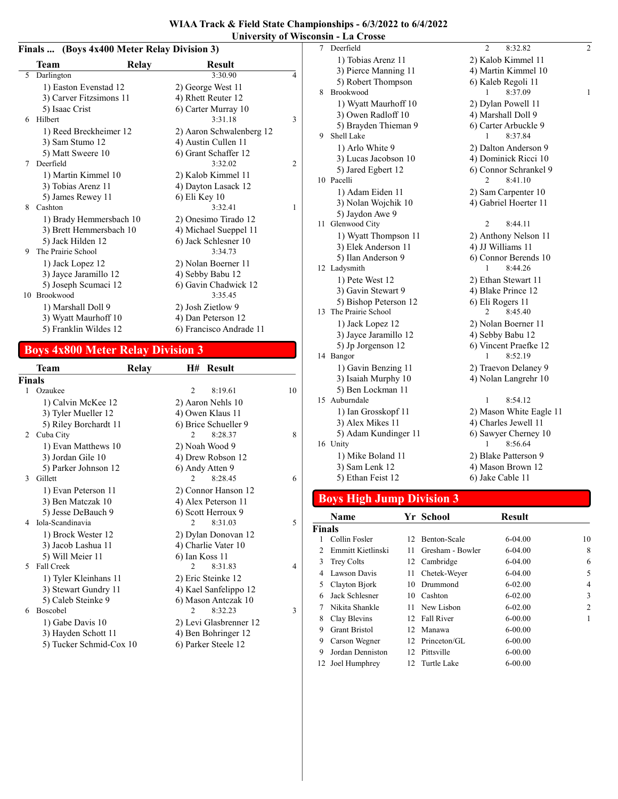|    | Finals  (Boys 4x400 Meter Relay Division 3)<br>Team |       | <b>Result</b>            |                |
|----|-----------------------------------------------------|-------|--------------------------|----------------|
| 5  | Darlington                                          | Relay | 3:30.90                  | $\overline{4}$ |
|    | 1) Easton Evenstad 12                               |       | 2) George West 11        |                |
|    | 3) Carver Fitzsimons 11                             |       | 4) Rhett Reuter 12       |                |
|    | 5) Isaac Crist                                      |       | 6) Carter Murray 10      |                |
| 6  | Hilbert                                             |       | 3:31.18                  | 3              |
|    | 1) Reed Breckheimer 12                              |       | 2) Aaron Schwalenberg 12 |                |
|    | 3) Sam Stumo 12                                     |       | 4) Austin Cullen 11      |                |
|    | 5) Matt Sweere 10                                   |       | 6) Grant Schaffer 12     |                |
| 7  | Deerfield                                           |       | 3:32.02                  | 2              |
|    | 1) Martin Kimmel 10                                 |       | 2) Kalob Kimmel 11       |                |
|    | 3) Tobias Arenz 11                                  |       | 4) Dayton Lasack 12      |                |
|    | 5) James Rewey 11                                   |       | 6) Eli Key 10            |                |
| 8  | Cashton                                             |       | 3:32.41                  | 1              |
|    | 1) Brady Hemmersbach 10                             |       | 2) Onesimo Tirado 12     |                |
|    | 3) Brett Hemmersbach 10                             |       | 4) Michael Sueppel 11    |                |
|    | 5) Jack Hilden 12                                   |       | 6) Jack Schlesner 10     |                |
| 9  | The Prairie School                                  |       | 3:34.73                  |                |
|    | 1) Jack Lopez 12                                    |       | 2) Nolan Boerner 11      |                |
|    | 3) Jayce Jaramillo 12                               |       | 4) Sebby Babu 12         |                |
|    | 5) Joseph Scumaci 12                                |       | 6) Gavin Chadwick 12     |                |
| 10 | Brookwood                                           |       | 3:35.45                  |                |
|    | 1) Marshall Doll 9                                  |       | 2) Josh Zietlow 9        |                |
|    | 3) Wyatt Maurhoff 10                                |       | 4) Dan Peterson 12       |                |
|    | 5) Franklin Wildes 12                               |       | 6) Francisco Andrade 11  |                |

### Boys 4x800 Meter Relay Division 3

|        | Team                    | Relay | H#             | <b>Result</b>          |    |
|--------|-------------------------|-------|----------------|------------------------|----|
| Finals |                         |       |                |                        |    |
|        | 1 Ozaukee               |       | 2              | 8:19.61                | 10 |
|        | 1) Calvin McKee 12      |       |                | 2) Aaron Nehls 10      |    |
|        | 3) Tyler Mueller 12     |       |                | 4) Owen Klaus 11       |    |
|        | 5) Riley Borchardt 11   |       |                | 6) Brice Schueller 9   |    |
| 2      | Cuba City               |       | 2              | 8:28.37                | 8  |
|        | 1) Evan Matthews 10     |       |                | 2) Noah Wood 9         |    |
|        | 3) Jordan Gile 10       |       |                | 4) Drew Robson 12      |    |
|        | 5) Parker Johnson 12    |       |                | 6) Andy Atten 9        |    |
| 3      | Gillett                 |       | 2              | 8:28.45                | 6  |
|        | 1) Evan Peterson 11     |       |                | 2) Connor Hanson 12    |    |
|        | 3) Ben Matczak 10       |       |                | 4) Alex Peterson 11    |    |
|        | 5) Jesse DeBauch 9      |       |                | 6) Scott Herroux 9     |    |
| 4      | Iola-Scandinavia        |       | $\mathfrak{D}$ | 8:31.03                | 5  |
|        | 1) Brock Wester 12      |       |                | 2) Dylan Donovan 12    |    |
|        | 3) Jacob Lashua 11      |       |                | 4) Charlie Vater 10    |    |
|        | 5) Will Meier 11        |       | 6) Ian Koss 11 |                        |    |
| 5      | Fall Creek              |       | $\mathfrak{D}$ | 8:31.83                | 4  |
|        | 1) Tyler Kleinhans 11   |       |                | 2) Eric Steinke 12     |    |
|        | 3) Stewart Gundry 11    |       |                | 4) Kael Sanfelippo 12  |    |
|        | 5) Caleb Steinke 9      |       |                | 6) Mason Antezak 10    |    |
| 6      | <b>Boscobel</b>         |       | $\mathfrak{D}$ | 8:32.23                | 3  |
|        | 1) Gabe Davis 10        |       |                | 2) Levi Glasbrenner 12 |    |
|        | 3) Hayden Schott 11     |       |                | 4) Ben Bohringer 12    |    |
|        | 5) Tucker Schmid-Cox 10 |       |                | 6) Parker Steele 12    |    |

| 7 | Deerfield             | $\overline{c}$<br>8:32.82 | 2            |
|---|-----------------------|---------------------------|--------------|
|   | 1) Tobias Arenz 11    | 2) Kalob Kimmel 11        |              |
|   | 3) Pierce Manning 11  | 4) Martin Kimmel 10       |              |
|   | 5) Robert Thompson    | 6) Kaleb Regoli 11        |              |
| 8 | <b>Brookwood</b>      | 8:37.09<br>1              | $\mathbf{1}$ |
|   | 1) Wyatt Maurhoff 10  | 2) Dylan Powell 11        |              |
|   | 3) Owen Radloff 10    | 4) Marshall Doll 9        |              |
|   | 5) Brayden Thieman 9  | 6) Carter Arbuckle 9      |              |
| 9 | Shell Lake            | 8:37.84<br>1              |              |
|   | 1) Arlo White 9       | 2) Dalton Anderson 9      |              |
|   | 3) Lucas Jacobson 10  | 4) Dominick Ricci 10      |              |
|   | 5) Jared Egbert 12    | 6) Connor Schrankel 9     |              |
|   | 10 Pacelli            | 8:41.10<br>2              |              |
|   | 1) Adam Eiden 11      | 2) Sam Carpenter 10       |              |
|   | 3) Nolan Wojchik 10   | 4) Gabriel Hoerter 11     |              |
|   | 5) Jaydon Awe 9       |                           |              |
|   | 11 Glenwood City      | $\overline{2}$<br>8:44.11 |              |
|   | 1) Wyatt Thompson 11  | 2) Anthony Nelson 11      |              |
|   | 3) Elek Anderson 11   | 4) JJ Williams 11         |              |
|   | 5) Ilan Anderson 9    | 6) Connor Berends 10      |              |
|   | 12 Ladysmith          | 8:44.26<br>1              |              |
|   | 1) Pete West 12       | 2) Ethan Stewart 11       |              |
|   | 3) Gavin Stewart 9    | 4) Blake Prince 12        |              |
|   | 5) Bishop Peterson 12 | 6) Eli Rogers 11          |              |
|   | 13 The Prairie School | 2<br>8:45.40              |              |
|   | 1) Jack Lopez 12      | 2) Nolan Boerner 11       |              |
|   | 3) Jayce Jaramillo 12 | 4) Sebby Babu 12          |              |
|   | 5) Jp Jorgenson 12    | 6) Vincent Praefke 12     |              |
|   | 14 Bangor             | 8:52.19<br>1              |              |
|   | 1) Gavin Benzing 11   | 2) Traevon Delaney 9      |              |
|   | 3) Isaiah Murphy 10   | 4) Nolan Langrehr 10      |              |
|   | 5) Ben Lockman 11     |                           |              |
|   | 15 Auburndale         | $\mathbf{1}$<br>8:54.12   |              |
|   | 1) Ian Grosskopf 11   | 2) Mason White Eagle 11   |              |
|   | 3) Alex Mikes 11      | 4) Charles Jewell 11      |              |
|   | 5) Adam Kundinger 11  | 6) Sawyer Cherney 10      |              |
|   | 16 Unity              | 8:56.64<br>1              |              |
|   | 1) Mike Boland 11     | 2) Blake Patterson 9      |              |
|   | 3) Sam Lenk 12        | 4) Mason Brown 12         |              |
|   | 5) Ethan Feist 12     | 6) Jake Cable 11          |              |

### Boys High Jump Division 3

|               | Name                 |                 | Yr School        | <b>Result</b> |                |
|---------------|----------------------|-----------------|------------------|---------------|----------------|
| <b>Finals</b> |                      |                 |                  |               |                |
|               | Collin Fosler        | 12.             | Benton-Scale     | $6-04.00$     | 10             |
|               | Emmitt Kietlinski    | 11              | Gresham - Bowler | $6-04.00$     | 8              |
| 3             | <b>Trey Colts</b>    | 12              | Cambridge        | $6-04.00$     | 6              |
| 4             | Lawson Davis         | 11              | Chetek-Weyer     | $6-04.00$     | 5              |
| 5             | Clayton Bjork        | 10              | Drummond         | $6 - 02.00$   | 4              |
| 6             | Jack Schlesner       | 10              | Cashton          | $6-02.00$     | 3              |
| 7             | Nikita Shankle       |                 | 11 New Lisbon    | $6-02.00$     | $\overline{c}$ |
| 8             | Clay Blevins         | 12              | Fall River       | $6 - 00.00$   | 1              |
| 9             | <b>Grant Bristol</b> | 12              | Manawa           | $6-00.00$     |                |
| 9             | Carson Wegner        | 12              | Princeton/GL     | $6 - 00.00$   |                |
| 9             | Jordan Denniston     | 12 <sup>2</sup> | Pittsville       | $6 - 00.00$   |                |
| 12            | Joel Humphrey        | 12.             | Turtle Lake      | $6 - 00.00$   |                |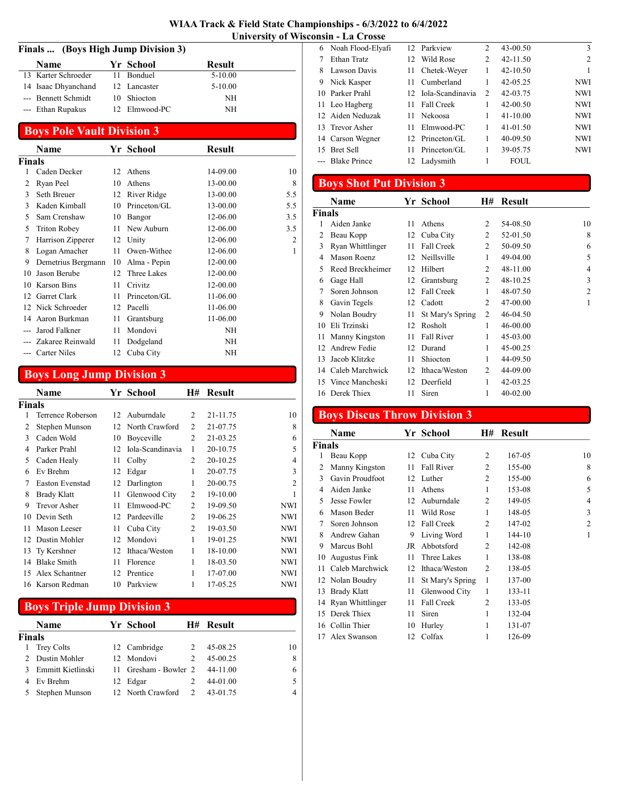| Finals  (Boys High Jump Division 3) |               |               |  |
|-------------------------------------|---------------|---------------|--|
| <b>Name</b>                         | Yr School     | <b>Result</b> |  |
| 13 Karter Schroeder                 | 11 Bonduel    | $5 - 10.00$   |  |
| 14 Isaac Dhyanchand                 | 12 Lancaster  | $5 - 10.00$   |  |
| --- Bennett Schmidt                 | 10 Shiocton   | NH            |  |
| --- Ethan Rupakus                   | 12 Elmwood-PC | NH            |  |

#### Boys Pole Vault Division 3

|               | Name                |    | Yr School    | <b>Result</b> |     |
|---------------|---------------------|----|--------------|---------------|-----|
| <b>Finals</b> |                     |    |              |               |     |
|               | Caden Decker        | 12 | Athens       | 14-09.00      | 10  |
| 2             | Ryan Peel           | 10 | Athens       | 13-00.00      | 8   |
| 3             | Seth Breuer         | 12 | River Ridge  | 13-00.00      | 5.5 |
| 3             | Kaden Kimball       | 10 | Princeton/GL | 13-00.00      | 5.5 |
| 5             | Sam Crenshaw        | 10 | Bangor       | 12-06.00      | 3.5 |
| 5             | <b>Triton Robey</b> | 11 | New Auburn   | 12-06.00      | 3.5 |
| 7             | Harrison Zipperer   | 12 | Unity        | 12-06.00      | 2   |
| 8             | Logan Amacher       | 11 | Owen-Withee  | 12-06.00      | 1   |
| 9             | Demetrius Bergmann  | 10 | Alma - Pepin | 12-00.00      |     |
| 10            | Jason Berube        | 12 | Three Lakes  | 12-00.00      |     |
| 10            | <b>Karson Bins</b>  | 11 | Crivitz      | 12-00.00      |     |
|               | 12 Garret Clark     | 11 | Princeton/GL | 11-06.00      |     |
|               | 12 Nick Schroeder   | 12 | Pacelli      | 11-06.00      |     |
| 14            | Aaron Burkman       | 11 | Grantsburg   | 11-06.00      |     |
|               | Jarod Falkner       | 11 | Mondovi      | NH            |     |
|               | Zakaree Reinwald    | 11 | Dodgeland    | NH            |     |
|               | <b>Carter Niles</b> | 12 | Cuba City    | NΗ            |     |

### Boys Long Jump Division 3

|               | Name                   |                 | Yr School        | H#             | Result   |                |
|---------------|------------------------|-----------------|------------------|----------------|----------|----------------|
| <b>Finals</b> |                        |                 |                  |                |          |                |
|               | Terrence Roberson      | 12 <sup>1</sup> | Auburndale       | $\mathcal{L}$  | 21-11.75 | 10             |
| 2             | Stephen Munson         | 12              | North Crawford   | $\mathfrak{D}$ | 21-07.75 | 8              |
| 3             | Caden Wold             | 10              | Boyceville       | 2              | 21-03.25 | 6              |
| 4             | Parker Prahl           | 12              | Iola-Scandinavia | 1              | 20-10.75 | 5              |
| 5             | Caden Healy            | 11              | Colby            | 2              | 20-10.25 | 4              |
| 6             | Ev Brehm               | 12              | Edgar            | 1              | 20-07.75 | 3              |
| 7             | <b>Easton Evenstad</b> | 12              | Darlington       | 1              | 20-00.75 | $\overline{2}$ |
| 8             | <b>Brady Klatt</b>     | 11              | Glenwood City    | 2              | 19-10.00 | 1              |
| 9             | <b>Trevor Asher</b>    | 11              | Elmwood-PC       | $\mathfrak{D}$ | 19-09.50 | <b>NWI</b>     |
| 10            | Devin Seth             | 12              | Pardeeville      | $\mathfrak{D}$ | 19-06.25 | <b>NWI</b>     |
| 11            | Mason Leeser           | 11              | Cuba City        | 2              | 19-03.50 | <b>NWI</b>     |
| 12            | Dustin Mohler          | 12              | Mondovi          | 1              | 19-01.25 | <b>NWI</b>     |
| 13            | Ty Kershner            | 12              | Ithaca/Weston    | 1              | 18-10.00 | <b>NWI</b>     |
| 14            | <b>Blake Smith</b>     | 11              | Florence         | 1              | 18-03.50 | <b>NWI</b>     |
| 15            | Alex Schantner         | 12              | Prentice         | 1              | 17-07.00 | <b>NWI</b>     |
| 16            | Karson Redman          | 10              | Parkview         | 1              | 17-05.25 | <b>NWI</b>     |
|               |                        |                 |                  |                |          |                |

### Boys Triple Jump Division 3

|        | <b>Name</b>       | Yr School             |               | H# Result |    |
|--------|-------------------|-----------------------|---------------|-----------|----|
| Finals |                   |                       |               |           |    |
|        | <b>Trey Colts</b> | 12 Cambridge          |               | 45-08.25  | 10 |
|        | Dustin Mohler     | 12 Mondovi            | $\mathcal{L}$ | 45-00.25  | 8  |
|        | Emmitt Kietlinski | 11 Gresham - Bowler 2 |               | 44-11.00  | 6  |
|        | Ev Brehm          | 12 Edgar              |               | 44-01.00  |    |
|        | Stephen Munson    | 12 North Crawford     | $\mathcal{L}$ | 43-01.75  | 4  |

|    | 6 Noah Flood-Elyafi |     | 12 Parkview         | $\mathfrak{D}$ | 43-00.50     | 3              |
|----|---------------------|-----|---------------------|----------------|--------------|----------------|
|    | Ethan Tratz         | 12. | Wild Rose           | 2              | $42 - 11.50$ | $\overline{c}$ |
| 8  | Lawson Davis        | 11  | Chetek-Weyer        | 1              | $42 - 10.50$ | 1              |
| 9  | Nick Kasper         | 11  | Cumberland          | 1              | $42 - 05.25$ | <b>NWI</b>     |
|    | 10 Parker Prahl     |     | 12 Iola-Scandinavia | 2              | 42-03.75     | <b>NWI</b>     |
|    | 11 Leo Hagberg      | 11  | Fall Creek          | 1              | $42 - 00.50$ | <b>NWI</b>     |
|    | 12 Aiden Neduzak    | 11  | <b>Nekoosa</b>      | 1              | $41 - 10.00$ | <b>NWI</b>     |
|    | 13 Trevor Asher     | 11  | Elmwood-PC          | 1              | 41-01.50     | <b>NWI</b>     |
|    | 14 Carson Wegner    |     | 12 Princeton/GL     | 1              | 40-09.50     | <b>NWI</b>     |
| 15 | <b>Bret Sell</b>    | 11  | Princeton/GL        | 1              | 39-05.75     | <b>NWI</b>     |
|    | --- Blake Prince    |     | Ladysmith           | 1              | <b>FOUL</b>  |                |

# Boys Shot Put Division 3

|        | Name             |    | Yr School        | Н#             | <b>Result</b> |                |
|--------|------------------|----|------------------|----------------|---------------|----------------|
| Finals |                  |    |                  |                |               |                |
| 1      | Aiden Janke      | 11 | Athens           | 2              | 54-08.50      | 10             |
| 2      | Beau Kopp        | 12 | Cuba City        | 2              | 52-01.50      | 8              |
| 3      | Ryan Whittlinger | 11 | Fall Creek       | $\overline{c}$ | 50-09.50      | 6              |
| 4      | Mason Roenz      | 12 | Neillsville      | 1              | 49-04.00      | 5              |
| 5      | Reed Breckheimer | 12 | Hilbert          | 2              | 48-11.00      | $\overline{4}$ |
| 6      | Gage Hall        | 12 | Grantsburg       | 2              | 48-10.25      | 3              |
| 7      | Soren Johnson    | 12 | Fall Creek       | 1              | 48-07.50      | $\overline{2}$ |
| 8      | Gavin Tegels     | 12 | Cadott           | 2              | 47-00.00      | 1              |
| 9      | Nolan Boudry     | 11 | St Mary's Spring | 2              | 46-04.50      |                |
| 10     | Eli Trzinski     | 12 | Rosholt          | 1              | 46-00.00      |                |
| 11     | Manny Kingston   | 11 | Fall River       | 1              | 45-03.00      |                |
| 12     | Andrew Fedie     | 12 | Durand           | 1              | 45-00.25      |                |
| 13     | Jacob Klitzke    | 11 | Shiocton         | 1              | 44-09.50      |                |
| 14     | Caleb Marchwick  | 12 | Ithaca/Weston    | 2              | 44-09.00      |                |
| 15     | Vince Mancheski  | 12 | Deerfield        | 1              | 42-03.25      |                |
|        | 16 Derek Thiex   | 11 | Siren            | 1              | 40-02.00      |                |

### Boys Discus Throw Division 3

|               | Name                |    | Yr School         | Н#             | Result |    |
|---------------|---------------------|----|-------------------|----------------|--------|----|
| <b>Finals</b> |                     |    |                   |                |        |    |
| 1             | Beau Kopp           | 12 | Cuba City         | 2              | 167-05 | 10 |
| 2             | Manny Kingston      | 11 | <b>Fall River</b> | 2              | 155-00 | 8  |
| 3             | Gavin Proudfoot     | 12 | Luther            | 2              | 155-00 | 6  |
| 4             | Aiden Janke         | 11 | Athens            | 1              | 153-08 | 5  |
| 5             | Jesse Fowler        | 12 | Auburndale        | 2              | 149-05 | 4  |
| 6             | Mason Beder         | 11 | Wild Rose         | 1              | 148-05 | 3  |
| 7             | Soren Johnson       | 12 | <b>Fall Creek</b> | 2              | 147-02 | 2  |
| 8             | Andrew Gahan        | 9  | Living Word       | 1              | 144-10 | 1  |
| 9             | Marcus Bohl         | JR | Abbotsford        | 2              | 142-08 |    |
| 10            | Augustus Fink       | 11 | Three Lakes       | 1              | 138-08 |    |
| 11            | Caleb Marchwick     | 12 | Ithaca/Weston     | $\overline{c}$ | 138-05 |    |
| 12            | Nolan Boudry        | 11 | St Mary's Spring  | 1              | 137-00 |    |
| 13            | <b>Brady Klatt</b>  | 11 | Glenwood City     | 1              | 133-11 |    |
|               | 14 Ryan Whittlinger | 11 | Fall Creek        | 2              | 133-05 |    |
| 15            | Derek Thiex         | 11 | Siren             | 1              | 132-04 |    |
|               | 16 Collin Thier     | 10 | Hurley            | 1              | 131-07 |    |
|               | 17 Alex Swanson     | 12 | Colfax            | 1              | 126-09 |    |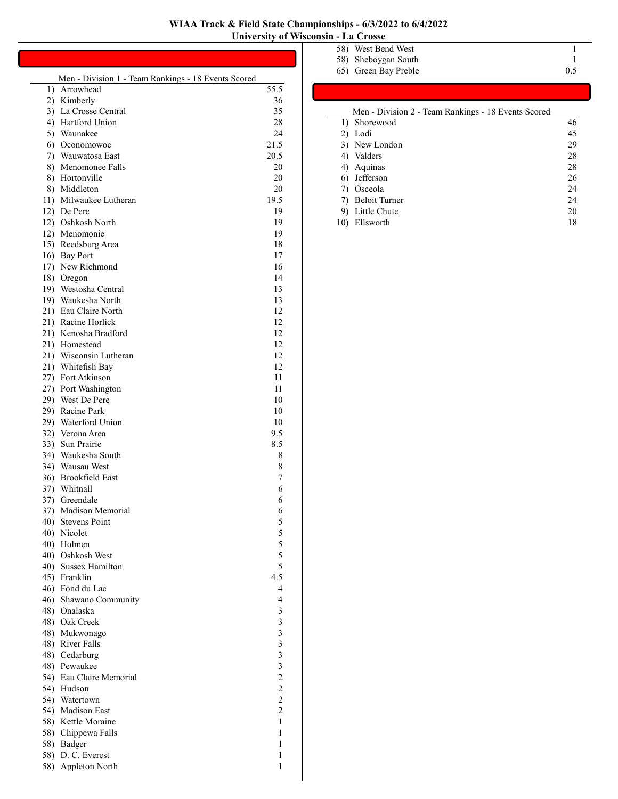|    | Men - Division 1 - Team Rankings - 18 Events Scored |                         |
|----|-----------------------------------------------------|-------------------------|
| 1) | Arrowhead                                           | 55.5                    |
|    | 2) Kimberly                                         | 36                      |
|    | 3) La Crosse Central                                | 35                      |
|    | 4) Hartford Union                                   | 28                      |
| 5) | Waunakee                                            | 24                      |
|    | 6) Oconomowoc                                       | 21.5                    |
|    |                                                     |                         |
| 7) | Wauwatosa East                                      | 20.5                    |
| 8) | Menomonee Falls                                     | 20                      |
|    | 8) Hortonville                                      | 20                      |
|    | 8) Middleton                                        | 20                      |
|    | 11) Milwaukee Lutheran                              | 19.5                    |
|    | 12) De Pere                                         | 19                      |
|    | 12) Oshkosh North                                   | 19                      |
|    | 12) Menomonie                                       | 19                      |
|    | 15) Reedsburg Area                                  | 18                      |
|    | 16) Bay Port                                        | 17                      |
|    | 17) New Richmond                                    | 16                      |
|    | 18) Oregon                                          | 14                      |
|    | 19) Westosha Central                                | 13                      |
|    | 19) Waukesha North                                  | 13                      |
|    | 21) Eau Claire North                                | 12                      |
|    | 21) Racine Horlick                                  | 12                      |
|    | 21) Kenosha Bradford                                | 12                      |
|    | 21) Homestead                                       | 12                      |
|    | 21) Wisconsin Lutheran                              | 12                      |
|    | 21) Whitefish Bay                                   | 12                      |
|    | 27) Fort Atkinson                                   | 11                      |
|    | 27) Port Washington                                 | 11                      |
|    | 29) West De Pere                                    | 10                      |
|    | 29) Racine Park                                     | 10                      |
|    | 29) Waterford Union                                 | 10                      |
|    |                                                     |                         |
|    | 32) Verona Area                                     | 9.5                     |
|    | 33) Sun Prairie                                     | 8.5                     |
|    | 34) Waukesha South                                  | 8                       |
|    | 34) Wausau West                                     | 8                       |
|    | 36) Brookfield East                                 | 7                       |
|    | 37) Whitnall                                        | 6                       |
|    | 37) Greendale                                       | 6                       |
|    | 37) Madison Memorial                                | 6                       |
|    | 40) Stevens Point                                   | 5                       |
|    | 40) Nicolet                                         | 5                       |
|    | 40) Holmen                                          | 5                       |
|    | 40) Oshkosh West                                    | 5                       |
|    | 40) Sussex Hamilton                                 | 5                       |
|    | 45) Franklin                                        | 4.5                     |
|    | 46) Fond du Lac                                     | 4                       |
|    | 46) Shawano Community                               | 4                       |
|    | 48) Onalaska                                        | 3                       |
|    | 48) Oak Creek                                       | 3                       |
|    | 48) Mukwonago                                       | $\overline{\mathbf{3}}$ |
|    | 48) River Falls                                     | $\mathfrak{Z}$          |
|    | 48) Cedarburg                                       | 3                       |
|    | 48) Pewaukee                                        | 3                       |
|    | 54) Eau Claire Memorial                             | $\overline{c}$          |
|    | 54) Hudson                                          | $\overline{c}$          |
|    | 54) Watertown                                       | $\overline{c}$          |
|    | 54) Madison East                                    | $\overline{c}$          |
|    | 58) Kettle Moraine                                  | 1                       |
|    | 58) Chippewa Falls                                  | 1                       |
|    | 58) Badger                                          | 1                       |
|    | 58) D. C. Everest                                   | 1                       |
|    | 58) Appleton North                                  | 1                       |

58) Appleton North 1

| 58) West Bend West   |     |
|----------------------|-----|
| 58) Sheboygan South  |     |
| 65) Green Bay Preble | 0.5 |

| Men - Division 2 - Team Rankings - 18 Events Scored |    |
|-----------------------------------------------------|----|
| 1) Shorewood                                        | 46 |
| 2) Lodi                                             | 45 |
| 3) New London                                       | 29 |
| 4) Valders                                          | 28 |
| 4) Aquinas                                          | 28 |
| 6) Jefferson                                        | 26 |
| 7) Osceola                                          | 24 |
| 7) Beloit Turner                                    | 24 |
| 9) Little Chute                                     | 20 |
| Ellsworth                                           | 18 |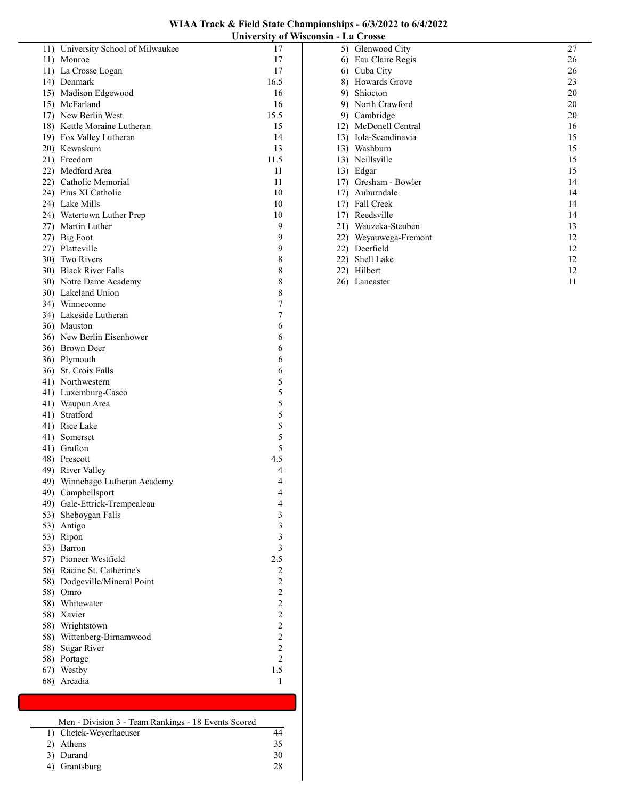| WIAA Track & Field State Championships - 6/3/2022 to 6/4/2022 |  |
|---------------------------------------------------------------|--|
| University of Wisconsin - La Crosse                           |  |

|     |                                    | ештегэнд ог                                |
|-----|------------------------------------|--------------------------------------------|
|     | 11) University School of Milwaukee | 17                                         |
|     | 11) Monroe                         | 17                                         |
|     | 11) La Crosse Logan                | 17                                         |
|     | 14) Denmark                        | 16.5                                       |
|     | 15) Madison Edgewood               | 16                                         |
|     | 15) McFarland                      | 16                                         |
|     | 17) New Berlin West                | 15.5                                       |
|     | 18) Kettle Moraine Lutheran        | 15                                         |
|     | 19) Fox Valley Lutheran            | 14                                         |
|     | 20) Kewaskum                       | 13                                         |
|     | 21) Freedom                        | 11.5                                       |
|     | 22) Medford Area                   | 11                                         |
|     | 22) Catholic Memorial              | 11                                         |
|     | 24) Pius XI Catholic               | 10                                         |
|     | 24) Lake Mills                     | 10                                         |
|     | 24) Watertown Luther Prep          | 10                                         |
|     | 27) Martin Luther                  | 9                                          |
|     | 27) Big Foot                       | 9                                          |
|     | 27) Platteville                    | 9                                          |
|     | 30) Two Rivers                     | 8                                          |
|     | 30) Black River Falls              | 8                                          |
|     | 30) Notre Dame Academy             | 8                                          |
|     | 30) Lakeland Union                 | 8                                          |
|     | 34) Winneconne                     | 7                                          |
|     | 34) Lakeside Lutheran              | 7                                          |
|     | 36) Mauston                        | 6                                          |
|     | 36) New Berlin Eisenhower          | 6                                          |
|     | 36) Brown Deer                     | 6                                          |
|     | 36) Plymouth                       | 6                                          |
|     | 36) St. Croix Falls                | 6                                          |
|     | 41) Northwestern                   | 5                                          |
|     | 41) Luxemburg-Casco                |                                            |
|     | 41) Waupun Area                    |                                            |
|     | 41) Stratford                      | 5 5 5 5 5                                  |
|     | 41) Rice Lake                      |                                            |
|     | 41) Somerset                       |                                            |
|     | 41) Grafton                        | 5                                          |
|     | 48) Prescott                       | 4.5                                        |
|     | 49) River Valley                   | 4                                          |
|     | 49) Winnebago Lutheran Academy     | 4                                          |
|     | 49) Campbellsport                  | $\overline{\mathbf{4}}$                    |
|     | 49) Gale-Ettrick-Trempealeau       | $\overline{\mathcal{A}}$                   |
| 53) | Sheboygan Falls                    | 3                                          |
|     | 53) Antigo                         | 3                                          |
| 53) | Ripon                              | $\overline{\mathbf{3}}$                    |
| 53) | Barron                             | $\overline{\mathbf{3}}$                    |
|     | 57) Pioneer Westfield              | 2.5                                        |
|     | 58) Racine St. Catherine's         | $\overline{c}$                             |
| 58) | Dodgeville/Mineral Point           |                                            |
| 58) | Omro                               | $\frac{2}{2}$                              |
| 58) | Whitewater                         |                                            |
| 58) | Xavier                             |                                            |
|     | 58) Wrightstown                    | $\begin{array}{c} 2 \\ 2 \\ 2 \end{array}$ |
| 58) | Wittenberg-Birnamwood              | $\overline{\mathbf{c}}$                    |
| 58) | Sugar River                        | $\overline{\mathbf{c}}$                    |
| 58) | Portage                            | $\overline{c}$                             |
| 67) | Westby                             | 1.5                                        |
| 68) | Arcadia                            | 1                                          |
|     |                                    |                                            |

| Men - Division 3 - Team Rankings - 18 Events Scored |    |
|-----------------------------------------------------|----|
| 1) Chetek-Weyerhaeuser                              |    |
| 2) Athens                                           | 35 |
| 3) Durand                                           | 30 |

3) Durand 30<br>4) Grantsburg 28

 $4)$  Grantsburg

| 5)  | Glenwood City     | 27 |
|-----|-------------------|----|
| 6)  | Eau Claire Regis  | 26 |
| 6)  | Cuba City         | 26 |
| 8)  | Howards Grove     | 23 |
| 9)  | Shiocton          | 20 |
| 9)  | North Crawford    | 20 |
| 9)  | Cambridge         | 20 |
| 12) | McDonell Central  | 16 |
| 13) | Iola-Scandinavia  | 15 |
| 13) | Washburn          | 15 |
| 13) | Neillsville       | 15 |
| 13) | Edgar             | 15 |
| 17) | Gresham - Bowler  | 14 |
| 17) | Auburndale        | 14 |
| 17) | Fall Creek        | 14 |
| 17) | Reedsville        | 14 |
| 21) | Wauzeka-Steuben   | 13 |
| 22) | Weyauwega-Fremont | 12 |
| 22) | Deerfield         | 12 |
| 22) | Shell Lake        | 12 |
| 22) | Hilbert           | 12 |
| 26) | Lancaster         | 11 |
|     |                   |    |